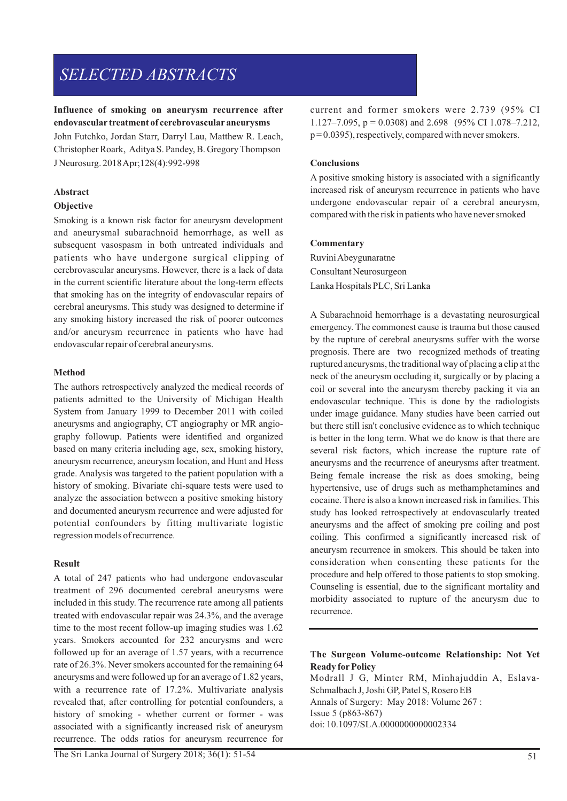# *SELECTED ABSTRACTS*

# **Influence of smoking on aneurysm recurrence after endovascular treatment of cerebrovascular aneurysms**

John Futchko, Jordan Starr, Darryl Lau, Matthew R. Leach, Christopher Roark, Aditya S. Pandey, B. Gregory Thompson J Neurosurg. 2018 Apr;128(4):992-998

# **Abstract**

# **Objective**

Smoking is a known risk factor for aneurysm development and aneurysmal subarachnoid hemorrhage, as well as subsequent vasospasm in both untreated individuals and patients who have undergone surgical clipping of cerebrovascular aneurysms. However, there is a lack of data in the current scientific literature about the long-term effects that smoking has on the integrity of endovascular repairs of cerebral aneurysms. This study was designed to determine if any smoking history increased the risk of poorer outcomes and/or aneurysm recurrence in patients who have had endovascular repair of cerebral aneurysms.

# **Method**

The authors retrospectively analyzed the medical records of patients admitted to the University of Michigan Health System from January 1999 to December 2011 with coiled aneurysms and angiography, CT angiography or MR angiography followup. Patients were identified and organized based on many criteria including age, sex, smoking history, aneurysm recurrence, aneurysm location, and Hunt and Hess grade. Analysis was targeted to the patient population with a history of smoking. Bivariate chi-square tests were used to analyze the association between a positive smoking history and documented aneurysm recurrence and were adjusted for potential confounders by fitting multivariate logistic regression models of recurrence.

# **Result**

A total of 247 patients who had undergone endovascular treatment of 296 documented cerebral aneurysms were included in this study. The recurrence rate among all patients treated with endovascular repair was 24.3%, and the average time to the most recent follow-up imaging studies was 1.62 years. Smokers accounted for 232 aneurysms and were followed up for an average of 1.57 years, with a recurrence rate of 26.3%. Never smokers accounted for the remaining 64 aneurysms and were followed up for an average of 1.82 years, with a recurrence rate of 17.2%. Multivariate analysis revealed that, after controlling for potential confounders, a history of smoking - whether current or former - was associated with a significantly increased risk of aneurysm recurrence. The odds ratios for aneurysm recurrence for

# **Conclusions**

A positive smoking history is associated with a significantly increased risk of aneurysm recurrence in patients who have undergone endovascular repair of a cerebral aneurysm, compared with the risk in patients who have never smoked

# **Commentary**

Ruvini Abeygunaratne Consultant Neurosurgeon Lanka Hospitals PLC, Sri Lanka

A Subarachnoid hemorrhage is a devastating neurosurgical emergency. The commonest cause is trauma but those caused by the rupture of cerebral aneurysms suffer with the worse prognosis. There are two recognized methods of treating ruptured aneurysms, the traditional way of placing a clip at the neck of the aneurysm occluding it, surgically or by placing a coil or several into the aneurysm thereby packing it via an endovascular technique. This is done by the radiologists under image guidance. Many studies have been carried out but there still isn't conclusive evidence as to which technique is better in the long term. What we do know is that there are several risk factors, which increase the rupture rate of aneurysms and the recurrence of aneurysms after treatment. Being female increase the risk as does smoking, being hypertensive, use of drugs such as methamphetamines and cocaine. There is also a known increased risk in families. This study has looked retrospectively at endovascularly treated aneurysms and the affect of smoking pre coiling and post coiling. This confirmed a significantly increased risk of aneurysm recurrence in smokers. This should be taken into consideration when consenting these patients for the procedure and help offered to those patients to stop smoking. Counseling is essential, due to the significant mortality and morbidity associated to rupture of the aneurysm due to recurrence.

# **The Surgeon Volume-outcome Relationship: Not Yet Ready for Policy**

Modrall J G, Minter RM, Minhajuddin A, Eslava-Schmalbach J, Joshi GP, Patel S, Rosero EB Annals of Surgery: May 2018: Volume 267 : Issue 5 (p863-867) doi: 10.1097/SLA.0000000000002334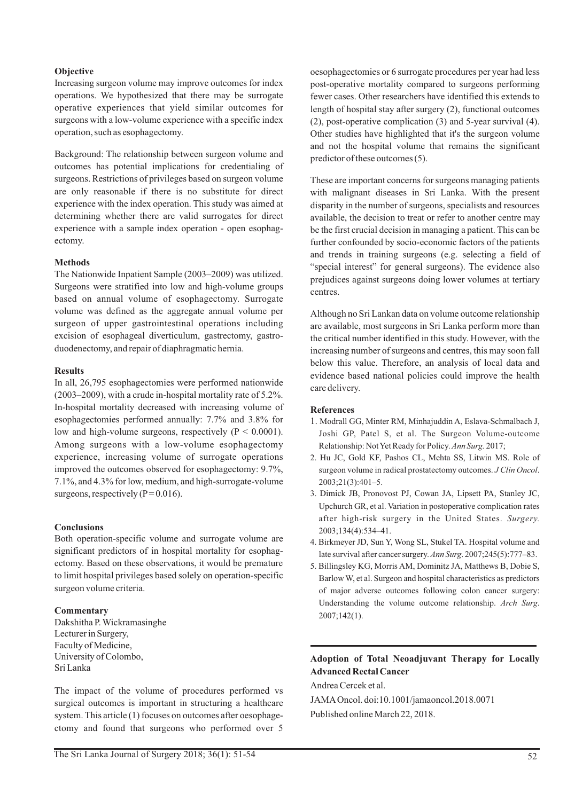### **Objective**

Increasing surgeon volume may improve outcomes for index operations. We hypothesized that there may be surrogate operative experiences that yield similar outcomes for surgeons with a low-volume experience with a specific index operation, such as esophagectomy.

Background: The relationship between surgeon volume and outcomes has potential implications for credentialing of surgeons. Restrictions of privileges based on surgeon volume are only reasonable if there is no substitute for direct experience with the index operation. This study was aimed at determining whether there are valid surrogates for direct experience with a sample index operation - open esophagectomy.

### **Methods**

The Nationwide Inpatient Sample (2003–2009) was utilized. Surgeons were stratified into low and high-volume groups based on annual volume of esophagectomy. Surrogate volume was defined as the aggregate annual volume per surgeon of upper gastrointestinal operations including excision of esophageal diverticulum, gastrectomy, gastroduodenectomy, and repair of diaphragmatic hernia.

### **Results**

In all, 26,795 esophagectomies were performed nationwide (2003–2009), with a crude in-hospital mortality rate of 5.2%. In-hospital mortality decreased with increasing volume of esophagectomies performed annually: 7.7% and 3.8% for low and high-volume surgeons, respectively (P < 0.0001). Among surgeons with a low-volume esophagectomy experience, increasing volume of surrogate operations improved the outcomes observed for esophagectomy: 9.7%, 7.1%, and 4.3% for low, medium, and high-surrogate-volume surgeons, respectively ( $P = 0.016$ ).

### **Conclusions**

Both operation-specific volume and surrogate volume are significant predictors of in hospital mortality for esophagectomy. Based on these observations, it would be premature to limit hospital privileges based solely on operation-specific surgeon volume criteria.

### **Commentary**

Dakshitha P. Wickramasinghe Lecturer in Surgery, Faculty of Medicine, University of Colombo, Sri Lanka

The impact of the volume of procedures performed vs surgical outcomes is important in structuring a healthcare system. This article (1) focuses on outcomes after oesophagectomy and found that surgeons who performed over 5 oesophagectomies or 6 surrogate procedures per year had less post-operative mortality compared to surgeons performing fewer cases. Other researchers have identified this extends to length of hospital stay after surgery (2), functional outcomes (2), post-operative complication (3) and 5-year survival (4). Other studies have highlighted that it's the surgeon volume and not the hospital volume that remains the significant predictor of these outcomes (5).

These are important concerns for surgeons managing patients with malignant diseases in Sri Lanka. With the present disparity in the number of surgeons, specialists and resources available, the decision to treat or refer to another centre may be the first crucial decision in managing a patient. This can be further confounded by socio-economic factors of the patients and trends in training surgeons (e.g. selecting a field of "special interest" for general surgeons). The evidence also prejudices against surgeons doing lower volumes at tertiary centres.

Although no Sri Lankan data on volume outcome relationship are available, most surgeons in Sri Lanka perform more than the critical number identified in this study. However, with the increasing number of surgeons and centres, this may soon fall below this value. Therefore, an analysis of local data and evidence based national policies could improve the health care delivery.

### **References**

- 1. Modrall GG, Minter RM, Minhajuddin A, Eslava-Schmalbach J, Joshi GP, Patel S, et al. The Surgeon Volume-outcome Relationship: Not Yet Ready for Policy. *Ann Surg.* 2017;
- 2. Hu JC, Gold KF, Pashos CL, Mehta SS, Litwin MS. Role of surgeon volume in radical prostatectomy outcomes. *J Clin Oncol*. 2003;21(3):401–5.
- 3. Dimick JB, Pronovost PJ, Cowan JA, Lipsett PA, Stanley JC, Upchurch GR, et al. Variation in postoperative complication rates after high-risk surgery in the United States. *Surgery.* 2003;134(4):534–41.
- 4. Birkmeyer JD, Sun Y, Wong SL, Stukel TA. Hospital volume and late survival after cancer surgery. *Ann Surg*. 2007;245(5):777–83.
- 5. Billingsley KG, Morris AM, Dominitz JA, Matthews B, Dobie S, Barlow W, et al. Surgeon and hospital characteristics as predictors of major adverse outcomes following colon cancer surgery: Understanding the volume outcome relationship. *Arch Surg*. 2007;142(1).

# **Adoption of Total Neoadjuvant Therapy for Locally Advanced Rectal Cancer**

Andrea Cercek et al.

JAMAOncol. doi:10.1001/jamaoncol.2018.0071 Published online March 22, 2018.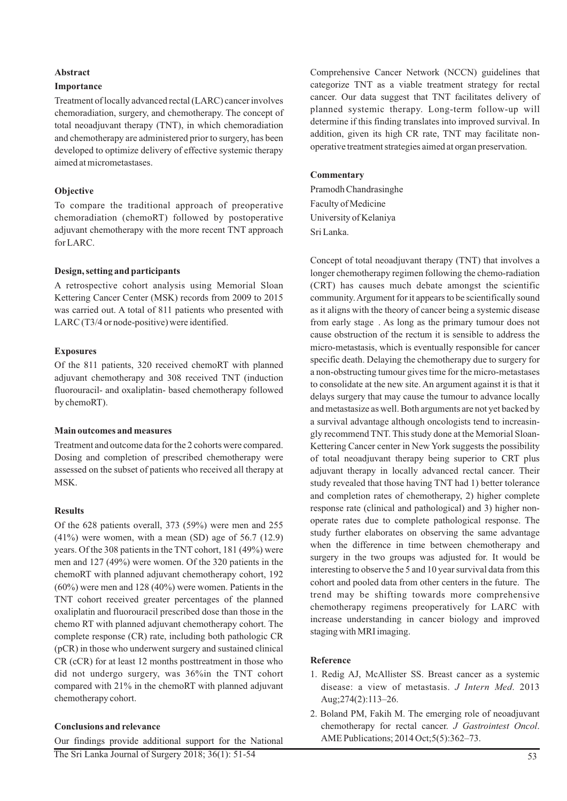### **Abstract**

### **Importance**

Treatment of locally advanced rectal (LARC) cancer involves chemoradiation, surgery, and chemotherapy. The concept of total neoadjuvant therapy (TNT), in which chemoradiation and chemotherapy are administered prior to surgery, has been developed to optimize delivery of effective systemic therapy aimed at micrometastases.

### **Objective**

To compare the traditional approach of preoperative chemoradiation (chemoRT) followed by postoperative adjuvant chemotherapy with the more recent TNT approach for LARC.

### **Design, setting and participants**

A retrospective cohort analysis using Memorial Sloan Kettering Cancer Center (MSK) records from 2009 to 2015 was carried out. A total of 811 patients who presented with LARC (T3/4 or node-positive) were identified.

### **Exposures**

Of the 811 patients, 320 received chemoRT with planned adjuvant chemotherapy and 308 received TNT (induction fluorouracil- and oxaliplatin- based chemotherapy followed by chemoRT).

### **Main outcomes and measures**

Treatment and outcome data for the 2 cohorts were compared. Dosing and completion of prescribed chemotherapy were assessed on the subset of patients who received all therapy at MSK.

### **Results**

Of the 628 patients overall, 373 (59%) were men and 255  $(41\%)$  were women, with a mean (SD) age of 56.7 (12.9) years. Of the 308 patients in the TNT cohort, 181 (49%) were men and 127 (49%) were women. Of the 320 patients in the chemoRT with planned adjuvant chemotherapy cohort, 192 (60%) were men and 128 (40%) were women. Patients in the TNT cohort received greater percentages of the planned oxaliplatin and fluorouracil prescribed dose than those in the chemo RT with planned adjuvant chemotherapy cohort. The complete response (CR) rate, including both pathologic CR (pCR) in those who underwent surgery and sustained clinical CR (cCR) for at least 12 months posttreatment in those who did not undergo surgery, was 36%in the TNT cohort compared with 21% in the chemoRT with planned adjuvant chemotherapy cohort.

### **Conclusions and relevance**

Our findings provide additional support for the National The Sri Lanka Journal of Surgery 2018; 36(1): 51-54

Comprehensive Cancer Network (NCCN) guidelines that categorize TNT as a viable treatment strategy for rectal cancer. Our data suggest that TNT facilitates delivery of planned systemic therapy. Long-term follow-up will determine if this finding translates into improved survival. In addition, given its high CR rate, TNT may facilitate nonoperative treatment strategies aimed at organ preservation.

### **Commentary**

Pramodh Chandrasinghe Faculty of Medicine University of Kelaniya Sri Lanka.

Concept of total neoadjuvant therapy (TNT) that involves a longer chemotherapy regimen following the chemo-radiation (CRT) has causes much debate amongst the scientific community. Argument for it appears to be scientifically sound as it aligns with the theory of cancer being a systemic disease from early stage . As long as the primary tumour does not cause obstruction of the rectum it is sensible to address the micro-metastasis, which is eventually responsible for cancer specific death. Delaying the chemotherapy due to surgery for a non-obstructing tumour gives time for the micro-metastases to consolidate at the new site. An argument against it is that it delays surgery that may cause the tumour to advance locally and metastasize as well. Both arguments are not yet backed by a survival advantage although oncologists tend to increasingly recommend TNT. This study done at the Memorial Sloan-Kettering Cancer center in New York suggests the possibility of total neoadjuvant therapy being superior to CRT plus adjuvant therapy in locally advanced rectal cancer. Their study revealed that those having TNT had 1) better tolerance and completion rates of chemotherapy, 2) higher complete response rate (clinical and pathological) and 3) higher nonoperate rates due to complete pathological response. The study further elaborates on observing the same advantage when the difference in time between chemotherapy and surgery in the two groups was adjusted for. It would be interesting to observe the 5 and 10 year survival data from this cohort and pooled data from other centers in the future. The trend may be shifting towards more comprehensive chemotherapy regimens preoperatively for LARC with increase understanding in cancer biology and improved staging with MRI imaging.

### **Reference**

- 1. Redig AJ, McAllister SS. Breast cancer as a systemic disease: a view of metastasis. *J Intern Med*. 2013 Aug;274(2):113–26.
- 2. Boland PM, Fakih M. The emerging role of neoadjuvant chemotherapy for rectal cancer. *J Gastrointest Oncol*. AME Publications; 2014 Oct;5(5):362–73.